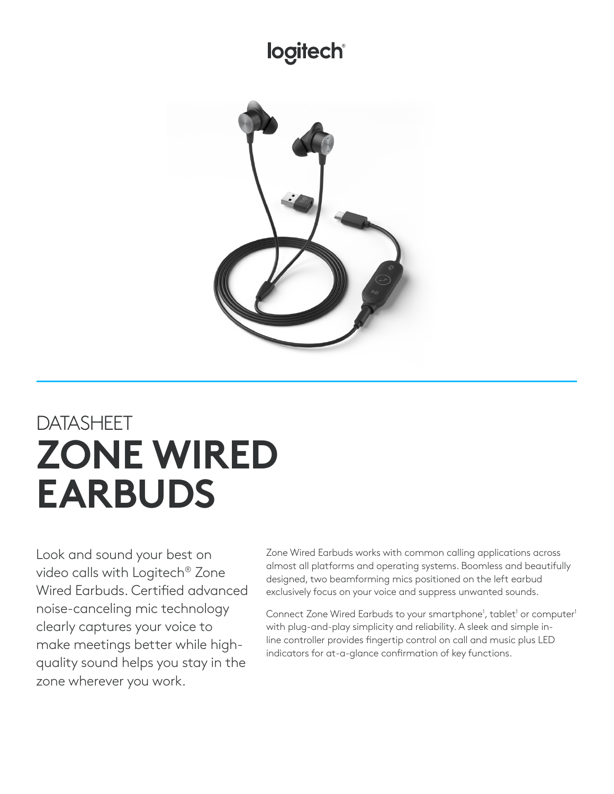## logitech®



# DATASHEET **ZONE WIRED EARBUDS**

Look and sound your best on video calls with Logitech® Zone Wired Earbuds. Certified advanced noise-canceling mic technology clearly captures your voice to make meetings better while highquality sound helps you stay in the zone wherever you work.

Zone Wired Earbuds works with common calling applications across almost all platforms and operating systems. Boomless and beautifully designed, two beamforming mics positioned on the left earbud exclusively focus on your voice and suppress unwanted sounds.

Connect Zone Wired Earbuds to your smartphone<sup>1</sup>, tablet<sup>1</sup> or computer<sup>1</sup> with plug-and-play simplicity and reliability. A sleek and simple inline controller provides fingertip control on call and music plus LED indicators for at-a-glance confirmation of key functions.